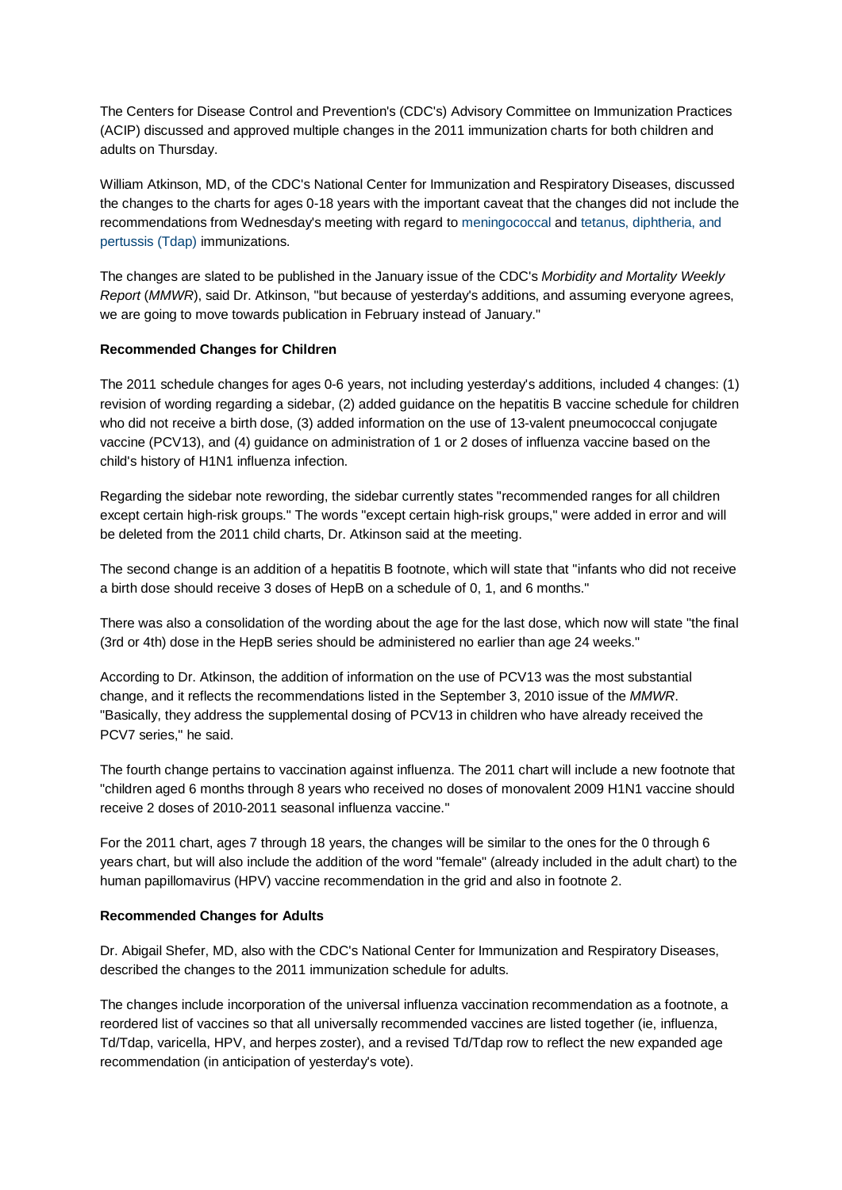The Centers for Disease Control and Prevention's (CDC's) Advisory Committee on Immunization Practices (ACIP) discussed and approved multiple changes in the 2011 immunization charts for both children and adults on Thursday.

William Atkinson, MD, of the CDC's National Center for Immunization and Respiratory Diseases, discussed the changes to the charts for ages 0-18 years with the important caveat that the changes did not include the recommendations from Wednesday's meeting with regard to [meningococcal](http://www.medscape.com/viewarticle/731392) and [tetanus, diphtheria, and](http://www.medscape.com/viewarticle/731394)  [pertussis \(Tdap\)](http://www.medscape.com/viewarticle/731394) immunizations.

The changes are slated to be published in the January issue of the CDC's *Morbidity and Mortality Weekly Report* (*MMWR*), said Dr. Atkinson, "but because of yesterday's additions, and assuming everyone agrees, we are going to move towards publication in February instead of January."

## **Recommended Changes for Children**

The 2011 schedule changes for ages 0-6 years, not including yesterday's additions, included 4 changes: (1) revision of wording regarding a sidebar, (2) added guidance on the hepatitis B vaccine schedule for children who did not receive a birth dose, (3) added information on the use of 13-valent pneumococcal conjugate vaccine (PCV13), and (4) guidance on administration of 1 or 2 doses of influenza vaccine based on the child's history of H1N1 influenza infection.

Regarding the sidebar note rewording, the sidebar currently states "recommended ranges for all children except certain high-risk groups." The words "except certain high-risk groups," were added in error and will be deleted from the 2011 child charts, Dr. Atkinson said at the meeting.

The second change is an addition of a hepatitis B footnote, which will state that "infants who did not receive a birth dose should receive 3 doses of HepB on a schedule of 0, 1, and 6 months."

There was also a consolidation of the wording about the age for the last dose, which now will state "the final (3rd or 4th) dose in the HepB series should be administered no earlier than age 24 weeks."

According to Dr. Atkinson, the addition of information on the use of PCV13 was the most substantial change, and it reflects the recommendations listed in the September 3, 2010 issue of the *MMWR*. "Basically, they address the supplemental dosing of PCV13 in children who have already received the PCV7 series," he said.

The fourth change pertains to vaccination against influenza. The 2011 chart will include a new footnote that "children aged 6 months through 8 years who received no doses of monovalent 2009 H1N1 vaccine should receive 2 doses of 2010-2011 seasonal influenza vaccine."

For the 2011 chart, ages 7 through 18 years, the changes will be similar to the ones for the 0 through 6 years chart, but will also include the addition of the word "female" (already included in the adult chart) to the human papillomavirus (HPV) vaccine recommendation in the grid and also in footnote 2.

## **Recommended Changes for Adults**

Dr. Abigail Shefer, MD, also with the CDC's National Center for Immunization and Respiratory Diseases, described the changes to the 2011 immunization schedule for adults.

The changes include incorporation of the universal influenza vaccination recommendation as a footnote, a reordered list of vaccines so that all universally recommended vaccines are listed together (ie, influenza, Td/Tdap, varicella, HPV, and herpes zoster), and a revised Td/Tdap row to reflect the new expanded age recommendation (in anticipation of yesterday's vote).